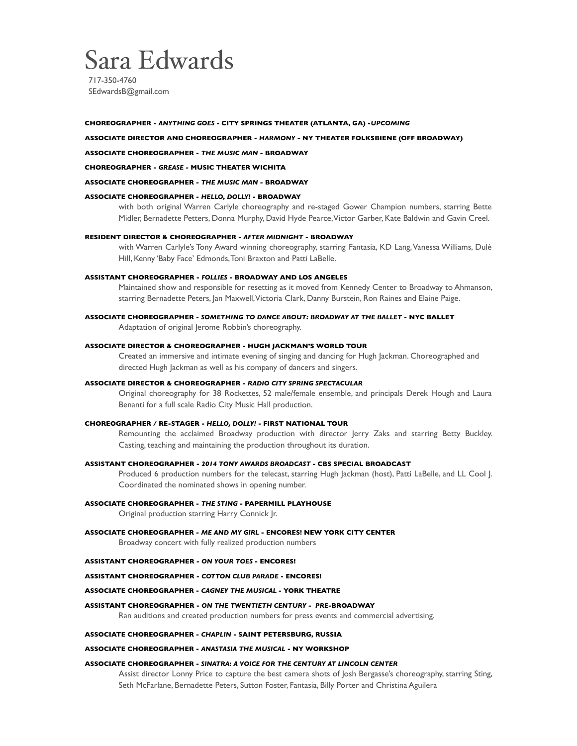# Sara Edwards

717-350-4760 SEdwardsB@gmail.com

#### **CHOREOGRAPHER -** *ANYTHING GOES -* **CITY SPRINGS THEATER (ATLANTA, GA) -***UPCOMING*

#### **ASSOCIATE DIRECTOR AND CHOREOGRAPHER -** *HARMONY -* **NY THEATER FOLKSBIENE (OFF BROADWAY)**

**ASSOCIATE CHOREOGRAPHER -** *THE MUSIC MAN -* **BROADWAY** 

#### **CHOREOGRAPHER -** *GREASE -* **MUSIC THEATER WICHITA**

## **ASSOCIATE CHOREOGRAPHER -** *THE MUSIC MAN -* **BROADWAY**

## **ASSOCIATE CHOREOGRAPHER -** *HELLO, DOLLY!* **- BROADWAY**

with both original Warren Carlyle choreography and re-staged Gower Champion numbers, starring Bette Midler, Bernadette Petters, Donna Murphy, David Hyde Pearce, Victor Garber, Kate Baldwin and Gavin Creel.

#### **RESIDENT DIRECTOR & CHOREOGRAPHER -** *AFTER MIDNIGHT* **- BROADWAY**

with Warren Carlyle's Tony Award winning choreography, starring Fantasia, KD Lang, Vanessa Williams, Dulè Hill, Kenny 'Baby Face' Edmonds, Toni Braxton and Patti LaBelle.

#### **ASSISTANT CHOREOGRAPHER -** *FOLLIES* **- BROADWAY AND LOS ANGELES**

Maintained show and responsible for resetting as it moved from Kennedy Center to Broadway to Ahmanson, starring Bernadette Peters, Jan Maxwell, Victoria Clark, Danny Burstein, Ron Raines and Elaine Paige.

# **ASSOCIATE CHOREOGRAPHER -** *SOMETHING TO DANCE ABOUT: BROADWAY AT THE BALLET* **- NYC BALLET**

Adaptation of original Jerome Robbin's choreography.

## **ASSOCIATE DIRECTOR & CHOREOGRAPHER - HUGH JACKMAN'S WORLD TOUR**

Created an immersive and intimate evening of singing and dancing for Hugh Jackman. Choreographed and directed Hugh Jackman as well as his company of dancers and singers.

## **ASSOCIATE DIRECTOR & CHOREOGRAPHER -** *RADIO CITY SPRING SPECTACULAR*

Original choreography for 38 Rockettes, 52 male/female ensemble, and principals Derek Hough and Laura Benanti for a full scale Radio City Music Hall production.

#### **CHOREOGRAPHER / RE-STAGER -** *HELLO, DOLLY!* **- FIRST NATIONAL TOUR**

Remounting the acclaimed Broadway production with director Jerry Zaks and starring Betty Buckley. Casting, teaching and maintaining the production throughout its duration.

## **ASSISTANT CHOREOGRAPHER -** *2014 TONY AWARDS BROADCAST -* **CBS SPECIAL BROADCAST**

Produced 6 production numbers for the telecast, starring Hugh Jackman (host), Patti LaBelle, and LL Cool J. Coordinated the nominated shows in opening number.

## **ASSOCIATE CHOREOGRAPHER -** *THE STING* **- PAPERMILL PLAYHOUSE**

Original production starring Harry Connick Jr.

**ASSOCIATE CHOREOGRAPHER -** *ME AND MY GIRL* **- ENCORES! NEW YORK CITY CENTER** Broadway concert with fully realized production numbers

#### **ASSISTANT CHOREOGRAPHER -** *ON YOUR TOES* **- ENCORES!**

## **ASSISTANT CHOREOGRAPHER -** *COTTON CLUB PARADE* **- ENCORES!**

## **ASSOCIATE CHOREOGRAPHER -** *CAGNEY THE MUSICAL -* **YORK THEATRE**

## **ASSISTANT CHOREOGRAPHER -** *ON THE TWENTIETH CENTURY - PRE-***BROADWAY**

Ran auditions and created production numbers for press events and commercial advertising.

#### **ASSOCIATE CHOREOGRAPHER -** *CHAPLIN* **- SAINT PETERSBURG, RUSSIA**

#### **ASSOCIATE CHOREOGRAPHER -** *ANASTASIA THE MUSICAL* **- NY WORKSHOP**

#### **ASSOCIATE CHOREOGRAPHER -** *SINATRA: A VOICE FOR THE CENTURY AT LINCOLN CENTER*

Assist director Lonny Price to capture the best camera shots of Josh Bergasse's choreography, starring Sting, Seth McFarlane, Bernadette Peters, Sutton Foster, Fantasia, Billy Porter and Christina Aguilera